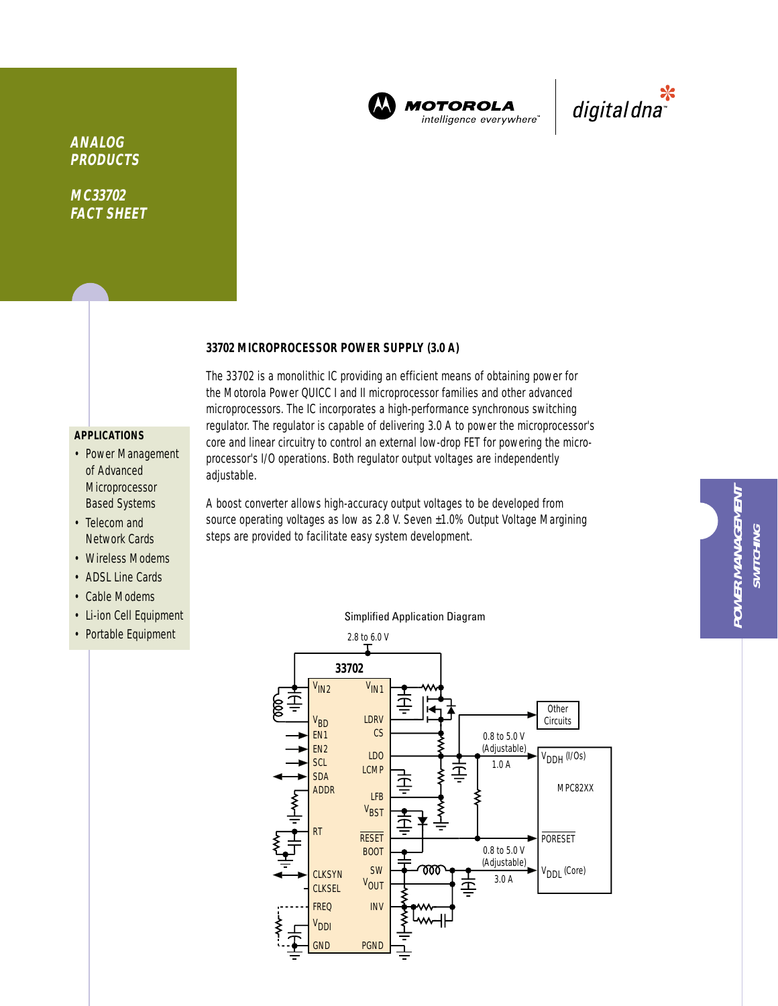

**MOTOROLA** intelligence everywhere



# **ANALOG PRODUCTS**

**MC33702 FACT SHEET**

## **33702 MICROPROCESSOR POWER SUPPLY (3.0 A)**

# **APPLICATIONS**

- Power Management of Advanced Microprocessor Based Systems
- Telecom and Network Cards
- Wireless Modems
- ADSL Line Cards
- Cable Modems
- Li-ion Cell Equipment
- Portable Equipment

The 33702 is a monolithic IC providing an efficient means of obtaining power for the Motorola Power QUICC I and II microprocessor families and other advanced microprocessors. The IC incorporates a high-performance synchronous switching regulator. The regulator is capable of delivering 3.0 A to power the microprocessor's core and linear circuitry to control an external low-drop FET for powering the microprocessor's I/O operations. Both regulator output voltages are independently adjustable.

A boost converter allows high-accuracy output voltages to be developed from source operating voltages as low as 2.8 V. Seven ±1.0% Output Voltage Margining steps are provided to facilitate easy system development.



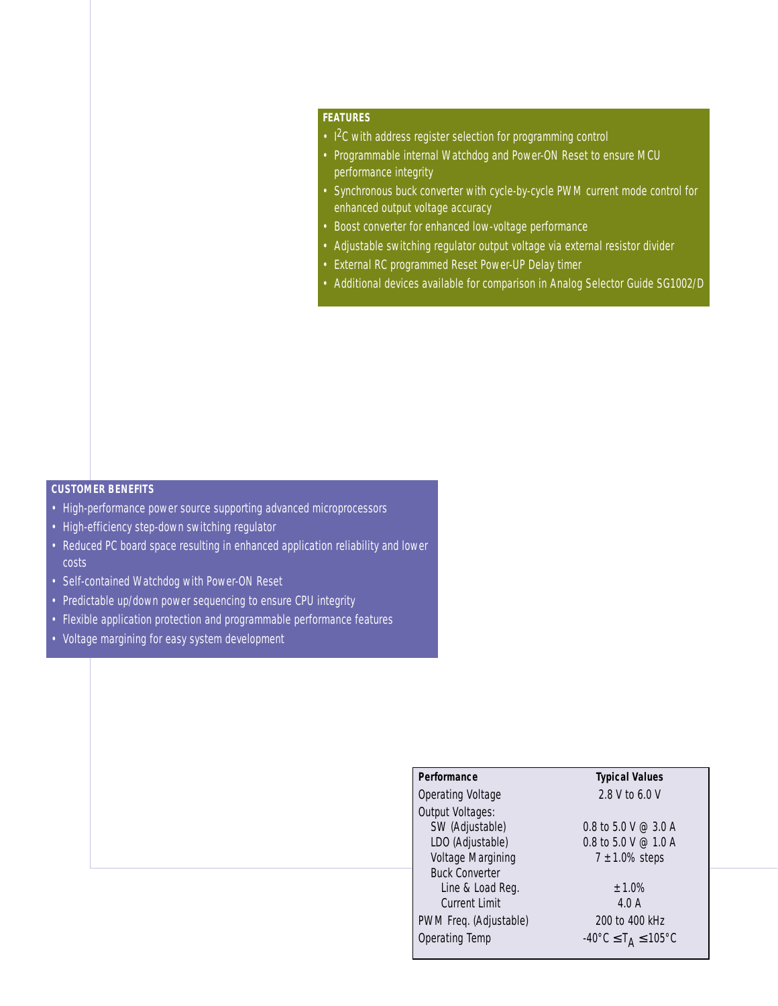## **FEATURES**

- I<sup>2</sup>C with address register selection for programming control
- Programmable internal Watchdog and Power-ON Reset to ensure MCU performance integrity
- Synchronous buck converter with cycle-by-cycle PWM current mode control for enhanced output voltage accuracy
- Boost converter for enhanced low-voltage performance
- Adjustable switching regulator output voltage via external resistor divider
- External RC programmed Reset Power-UP Delay timer
- Additional devices available for comparison in Analog Selector Guide SG1002/D

## **CUSTOMER BENEFITS**

- High-performance power source supporting advanced microprocessors
- High-efficiency step-down switching regulator
- Reduced PC board space resulting in enhanced application reliability and lower costs
- Self-contained Watchdog with Power-ON Reset
- Predictable up/down power sequencing to ensure CPU integrity
- Flexible application protection and programmable performance features
- Voltage margining for easy system development

# **Performance Typical Values**

Operating Voltage 2.8 V to 6.0 V Output Voltages: SW (Adjustable) 0.8 to 5.0 V @ 3.0 A LDO (Adjustable)  $0.8$  to  $5.0$  V  $\odot$  1.0 A Voltage Margining  $7 \pm 1.0\%$  steps Buck Converter Line & Load Reg.  $\pm 1.0\%$ Current Limit 4.0 A PWM Freq. (Adjustable) 200 to 400 kHz Operating Temp  $-40^{\circ}$ C  $\leq T_A \leq 105^{\circ}$ C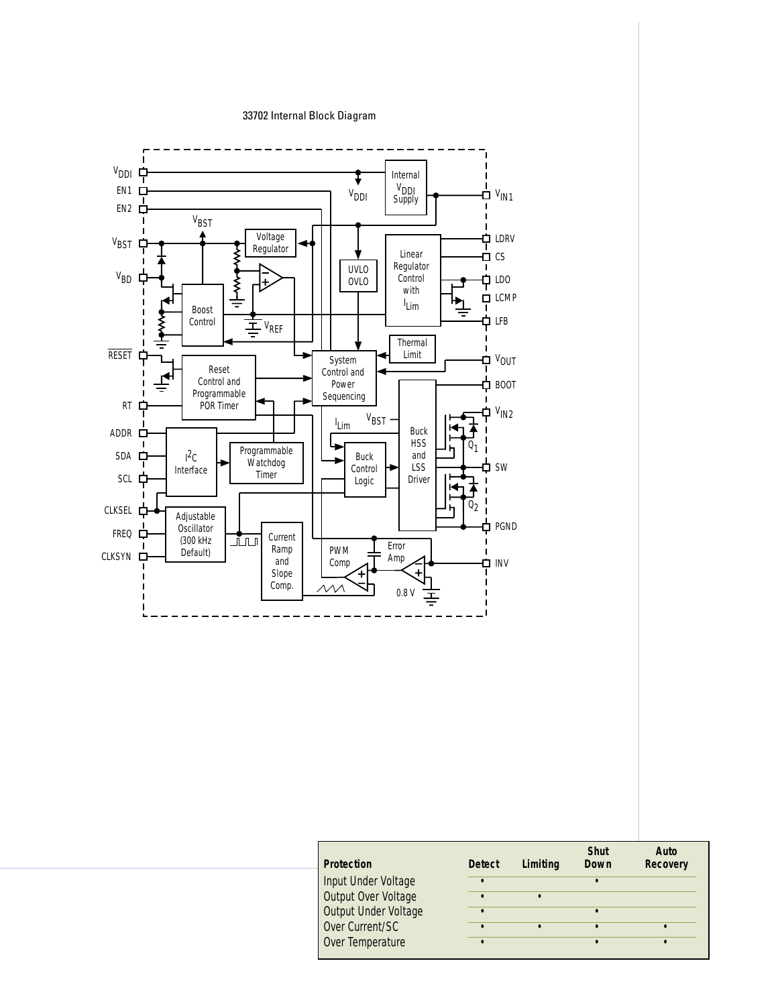### 33702 Internal Block Diagram



| <b>Protection</b>    | <b>Detect</b> | Limiting | <b>Shut</b><br>Down | Auto<br><b>Recovery</b> |
|----------------------|---------------|----------|---------------------|-------------------------|
| Input Under Voltage  |               |          | $\bullet$           |                         |
| Output Over Voltage  |               |          |                     |                         |
| Output Under Voltage |               |          | $\bullet$           |                         |
| Over Current/SC      |               |          |                     |                         |
| Over Temperature     |               |          |                     |                         |